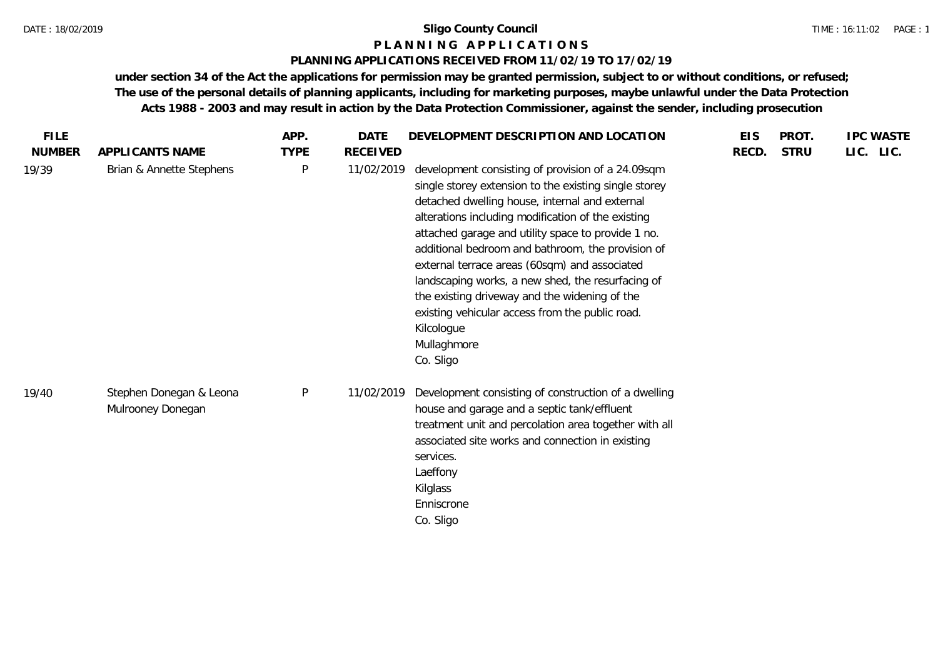#### **P L A N N I N G A P P L I C A T I O N S**

#### **PLANNING APPLICATIONS RECEIVED FROM 11/02/19 TO 17/02/19**

| <b>FILE</b>   |                                              | APP.        | <b>DATE</b>     | DEVELOPMENT DESCRIPTION AND LOCATION                                                                                                                                                                                                                                                                                                                                                                                                                                                                                                                                              | <b>EIS</b> | PROT.       | <b>IPC WASTE</b> |
|---------------|----------------------------------------------|-------------|-----------------|-----------------------------------------------------------------------------------------------------------------------------------------------------------------------------------------------------------------------------------------------------------------------------------------------------------------------------------------------------------------------------------------------------------------------------------------------------------------------------------------------------------------------------------------------------------------------------------|------------|-------------|------------------|
| <b>NUMBER</b> | APPLICANTS NAME                              | <b>TYPE</b> | <b>RECEIVED</b> |                                                                                                                                                                                                                                                                                                                                                                                                                                                                                                                                                                                   | RECD.      | <b>STRU</b> | LIC. LIC.        |
| 19/39         | Brian & Annette Stephens                     | $\sf P$     | 11/02/2019      | development consisting of provision of a 24.09sqm<br>single storey extension to the existing single storey<br>detached dwelling house, internal and external<br>alterations including modification of the existing<br>attached garage and utility space to provide 1 no.<br>additional bedroom and bathroom, the provision of<br>external terrace areas (60sqm) and associated<br>landscaping works, a new shed, the resurfacing of<br>the existing driveway and the widening of the<br>existing vehicular access from the public road.<br>Kilcologue<br>Mullaghmore<br>Co. Sligo |            |             |                  |
| 19/40         | Stephen Donegan & Leona<br>Mulrooney Donegan | P           | 11/02/2019      | Development consisting of construction of a dwelling<br>house and garage and a septic tank/effluent<br>treatment unit and percolation area together with all<br>associated site works and connection in existing<br>services.<br>Laeffony<br>Kilglass<br>Enniscrone<br>Co. Sligo                                                                                                                                                                                                                                                                                                  |            |             |                  |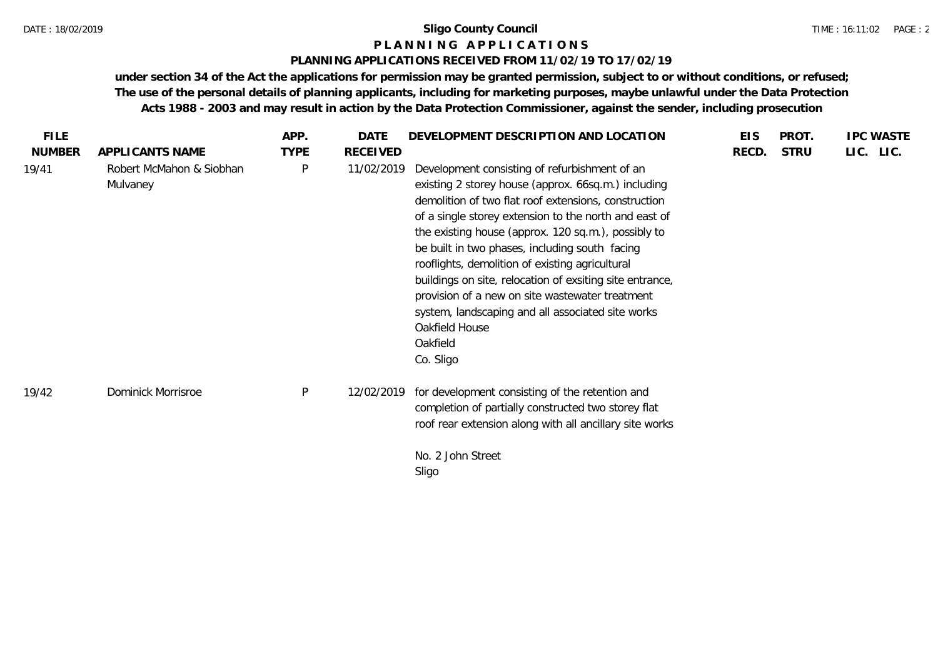#### **P L A N N I N G A P P L I C A T I O N S**

#### **PLANNING APPLICATIONS RECEIVED FROM 11/02/19 TO 17/02/19**

| <b>FILE</b>   |                                      | APP.         | <b>DATE</b>     | DEVELOPMENT DESCRIPTION AND LOCATION                                                                                                                                                                                                                                                                                                                                                                                                                                                                                                                                                             | <b>EIS</b> | PROT.       | <b>IPC WASTE</b> |
|---------------|--------------------------------------|--------------|-----------------|--------------------------------------------------------------------------------------------------------------------------------------------------------------------------------------------------------------------------------------------------------------------------------------------------------------------------------------------------------------------------------------------------------------------------------------------------------------------------------------------------------------------------------------------------------------------------------------------------|------------|-------------|------------------|
| <b>NUMBER</b> | APPLICANTS NAME                      | <b>TYPE</b>  | <b>RECEIVED</b> |                                                                                                                                                                                                                                                                                                                                                                                                                                                                                                                                                                                                  | RECD.      | <b>STRU</b> | LIC. LIC.        |
| 19/41         | Robert McMahon & Siobhan<br>Mulvaney | $\mathsf{P}$ | 11/02/2019      | Development consisting of refurbishment of an<br>existing 2 storey house (approx. 66sq.m.) including<br>demolition of two flat roof extensions, construction<br>of a single storey extension to the north and east of<br>the existing house (approx. 120 sq.m.), possibly to<br>be built in two phases, including south facing<br>rooflights, demolition of existing agricultural<br>buildings on site, relocation of exsiting site entrance,<br>provision of a new on site wastewater treatment<br>system, landscaping and all associated site works<br>Oakfield House<br>Oakfield<br>Co. Sligo |            |             |                  |
| 19/42         | Dominick Morrisroe                   | $\mathsf{P}$ | 12/02/2019      | for development consisting of the retention and<br>completion of partially constructed two storey flat<br>roof rear extension along with all ancillary site works<br>No. 2 John Street<br>Sligo                                                                                                                                                                                                                                                                                                                                                                                                  |            |             |                  |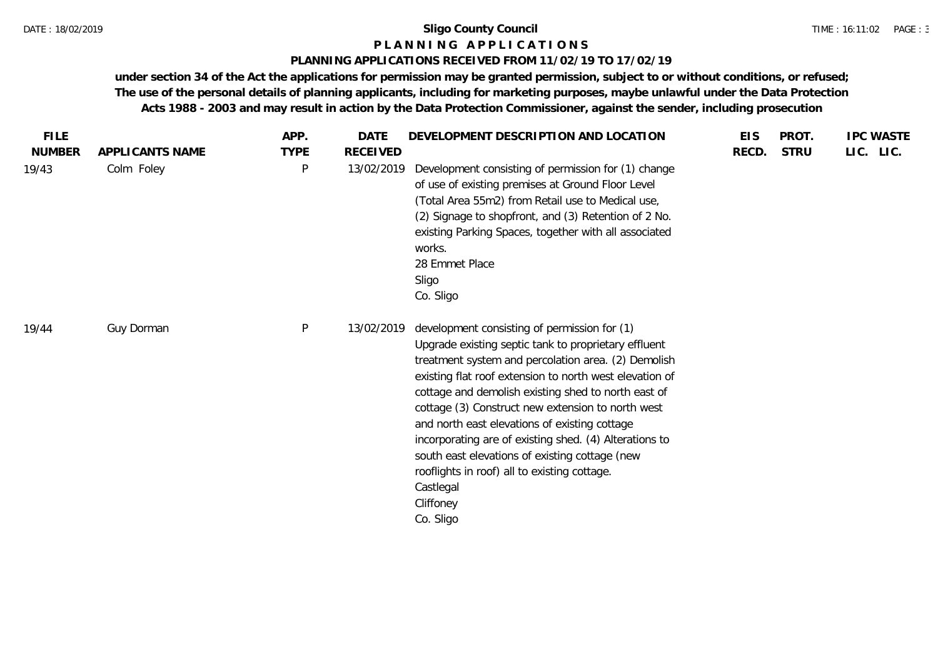#### **P L A N N I N G A P P L I C A T I O N S**

#### **PLANNING APPLICATIONS RECEIVED FROM 11/02/19 TO 17/02/19**

| <b>FILE</b>   |                 | APP.        | <b>DATE</b>     | DEVELOPMENT DESCRIPTION AND LOCATION                                                                                                                                                                                                                                                                                                                                                                                                                                                                                                                                                   | <b>EIS</b> | PROT.       | <b>IPC WASTE</b> |
|---------------|-----------------|-------------|-----------------|----------------------------------------------------------------------------------------------------------------------------------------------------------------------------------------------------------------------------------------------------------------------------------------------------------------------------------------------------------------------------------------------------------------------------------------------------------------------------------------------------------------------------------------------------------------------------------------|------------|-------------|------------------|
| <b>NUMBER</b> | APPLICANTS NAME | <b>TYPE</b> | <b>RECEIVED</b> |                                                                                                                                                                                                                                                                                                                                                                                                                                                                                                                                                                                        | RECD.      | <b>STRU</b> | LIC. LIC.        |
| 19/43         | Colm Foley      | P           | 13/02/2019      | Development consisting of permission for (1) change<br>of use of existing premises at Ground Floor Level<br>(Total Area 55m2) from Retail use to Medical use,<br>(2) Signage to shopfront, and (3) Retention of 2 No.<br>existing Parking Spaces, together with all associated<br>works.<br>28 Emmet Place<br>Sligo<br>Co. Sligo                                                                                                                                                                                                                                                       |            |             |                  |
| 19/44         | Guy Dorman      | P           | 13/02/2019      | development consisting of permission for (1)<br>Upgrade existing septic tank to proprietary effluent<br>treatment system and percolation area. (2) Demolish<br>existing flat roof extension to north west elevation of<br>cottage and demolish existing shed to north east of<br>cottage (3) Construct new extension to north west<br>and north east elevations of existing cottage<br>incorporating are of existing shed. (4) Alterations to<br>south east elevations of existing cottage (new<br>rooflights in roof) all to existing cottage.<br>Castlegal<br>Cliffoney<br>Co. Sligo |            |             |                  |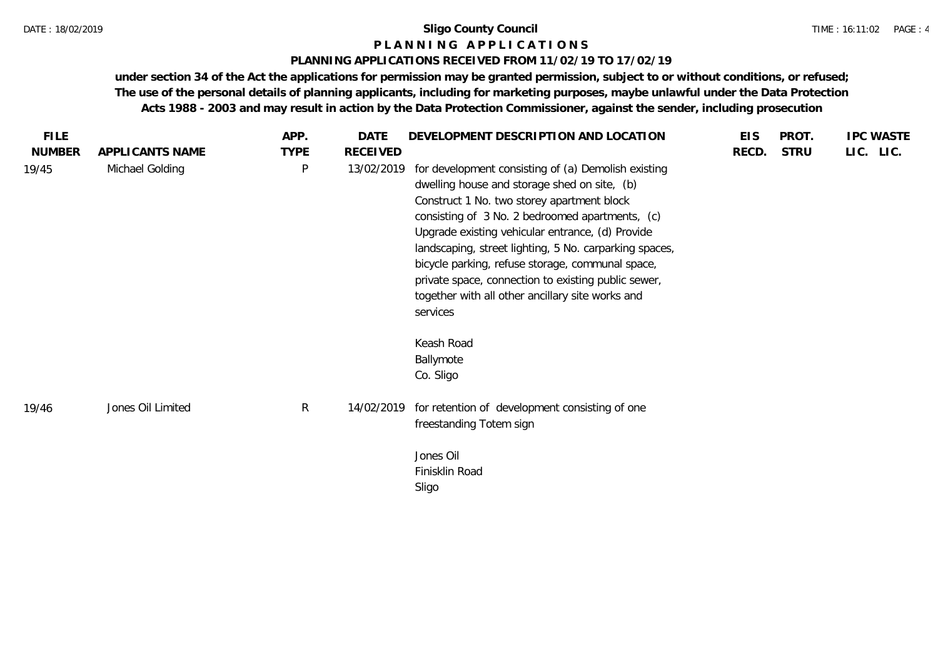#### **P L A N N I N G A P P L I C A T I O N S**

#### **PLANNING APPLICATIONS RECEIVED FROM 11/02/19 TO 17/02/19**

| <b>FILE</b>   |                   | APP.         | DATE       | DEVELOPMENT DESCRIPTION AND LOCATION                                                                                                                                                                                                                                                                                                                                                                                                                                                          | <b>EIS</b> | PROT.       | <b>IPC WASTE</b> |
|---------------|-------------------|--------------|------------|-----------------------------------------------------------------------------------------------------------------------------------------------------------------------------------------------------------------------------------------------------------------------------------------------------------------------------------------------------------------------------------------------------------------------------------------------------------------------------------------------|------------|-------------|------------------|
| <b>NUMBER</b> | APPLICANTS NAME   | <b>TYPE</b>  | RECEIVED   |                                                                                                                                                                                                                                                                                                                                                                                                                                                                                               | RECD.      | <b>STRU</b> | LIC. LIC.        |
| 19/45         | Michael Golding   | $\mathsf{P}$ | 13/02/2019 | for development consisting of (a) Demolish existing<br>dwelling house and storage shed on site, (b)<br>Construct 1 No. two storey apartment block<br>consisting of 3 No. 2 bedroomed apartments, (c)<br>Upgrade existing vehicular entrance, (d) Provide<br>landscaping, street lighting, 5 No. carparking spaces,<br>bicycle parking, refuse storage, communal space,<br>private space, connection to existing public sewer,<br>together with all other ancillary site works and<br>services |            |             |                  |
|               |                   |              |            | Keash Road<br>Ballymote<br>Co. Sligo                                                                                                                                                                                                                                                                                                                                                                                                                                                          |            |             |                  |
| 19/46         | Jones Oil Limited | $\mathsf{R}$ | 14/02/2019 | for retention of development consisting of one<br>freestanding Totem sign                                                                                                                                                                                                                                                                                                                                                                                                                     |            |             |                  |
|               |                   |              |            | Jones Oil<br>Finisklin Road<br>Sligo                                                                                                                                                                                                                                                                                                                                                                                                                                                          |            |             |                  |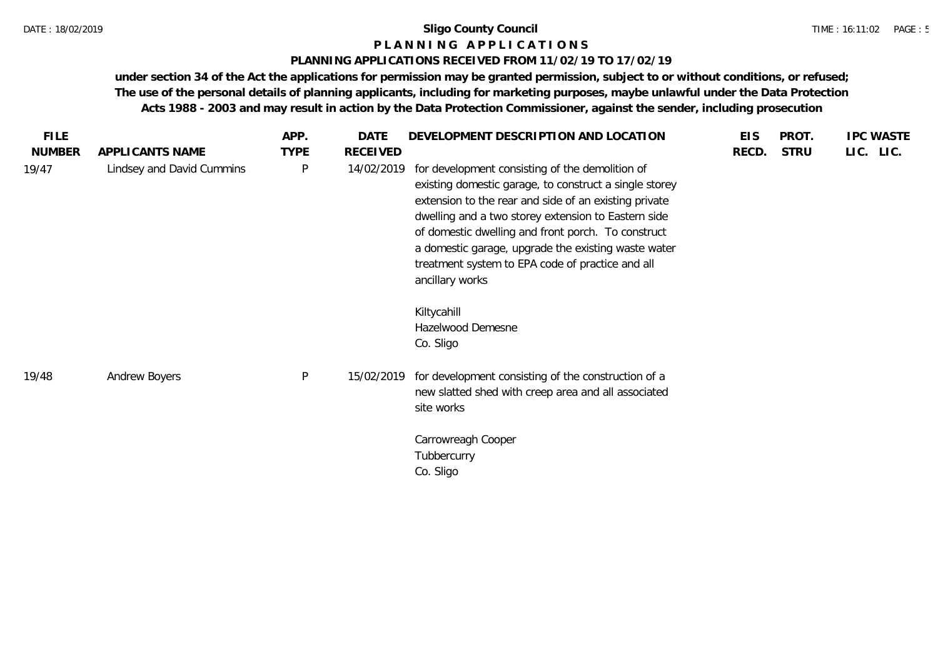#### **P L A N N I N G A P P L I C A T I O N S**

#### **PLANNING APPLICATIONS RECEIVED FROM 11/02/19 TO 17/02/19**

| <b>FILE</b>   |                           | APP.         | <b>DATE</b>     | DEVELOPMENT DESCRIPTION AND LOCATION                                                                                                                                                                                                                                                                                                                                                                                                                           | <b>EIS</b> | PROT.       | <b>IPC WASTE</b> |
|---------------|---------------------------|--------------|-----------------|----------------------------------------------------------------------------------------------------------------------------------------------------------------------------------------------------------------------------------------------------------------------------------------------------------------------------------------------------------------------------------------------------------------------------------------------------------------|------------|-------------|------------------|
| <b>NUMBER</b> | APPLICANTS NAME           | <b>TYPE</b>  | <b>RECEIVED</b> |                                                                                                                                                                                                                                                                                                                                                                                                                                                                | RECD.      | <b>STRU</b> | LIC. LIC.        |
| 19/47         | Lindsey and David Cummins | P            | 14/02/2019      | for development consisting of the demolition of<br>existing domestic garage, to construct a single storey<br>extension to the rear and side of an existing private<br>dwelling and a two storey extension to Eastern side<br>of domestic dwelling and front porch. To construct<br>a domestic garage, upgrade the existing waste water<br>treatment system to EPA code of practice and all<br>ancillary works<br>Kiltycahill<br>Hazelwood Demesne<br>Co. Sligo |            |             |                  |
| 19/48         | Andrew Boyers             | $\mathsf{P}$ | 15/02/2019      | for development consisting of the construction of a<br>new slatted shed with creep area and all associated<br>site works<br>Carrowreagh Cooper<br>Tubbercurry<br>Co. Sligo                                                                                                                                                                                                                                                                                     |            |             |                  |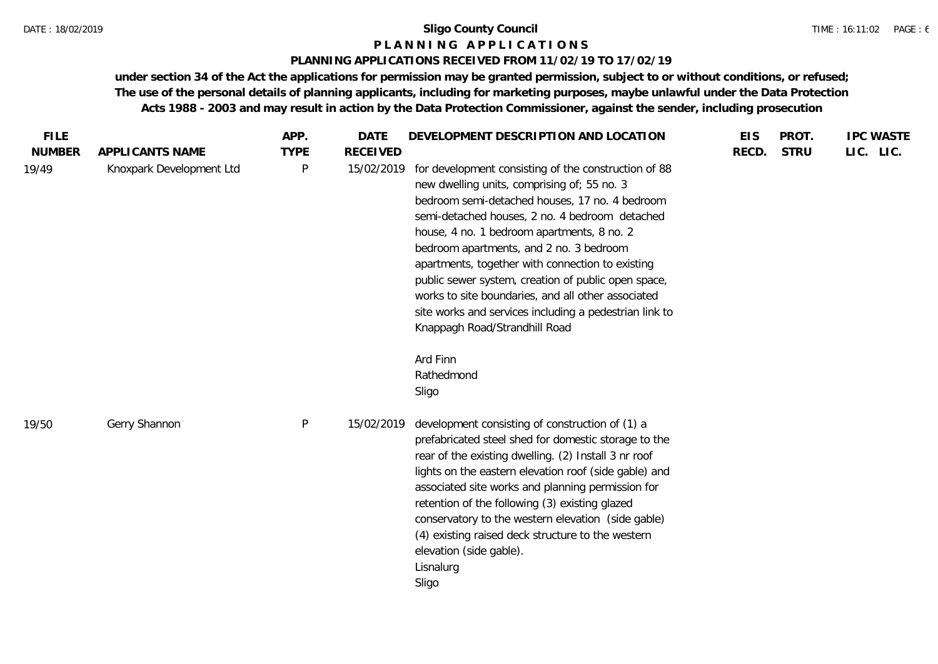#### **P L A N N I N G A P P L I C A T I O N S**

#### **PLANNING APPLICATIONS RECEIVED FROM 11/02/19 TO 17/02/19**

| <b>FILE</b>   |                          | APP.        | DATE            | DEVELOPMENT DESCRIPTION AND LOCATION                                                                                                                                                                                                                                                                                                                                                                                                                                                                                                                                                            | <b>EIS</b> | PROT.       | <b>IPC WASTE</b> |
|---------------|--------------------------|-------------|-----------------|-------------------------------------------------------------------------------------------------------------------------------------------------------------------------------------------------------------------------------------------------------------------------------------------------------------------------------------------------------------------------------------------------------------------------------------------------------------------------------------------------------------------------------------------------------------------------------------------------|------------|-------------|------------------|
| <b>NUMBER</b> | APPLICANTS NAME          | <b>TYPE</b> | <b>RECEIVED</b> |                                                                                                                                                                                                                                                                                                                                                                                                                                                                                                                                                                                                 | RECD.      | <b>STRU</b> | LIC. LIC.        |
| 19/49         | Knoxpark Development Ltd | P           | 15/02/2019      | for development consisting of the construction of 88<br>new dwelling units, comprising of; 55 no. 3<br>bedroom semi-detached houses, 17 no. 4 bedroom<br>semi-detached houses, 2 no. 4 bedroom detached<br>house, 4 no. 1 bedroom apartments, 8 no. 2<br>bedroom apartments, and 2 no. 3 bedroom<br>apartments, together with connection to existing<br>public sewer system, creation of public open space,<br>works to site boundaries, and all other associated<br>site works and services including a pedestrian link to<br>Knappagh Road/Strandhill Road<br>Ard Finn<br>Rathedmond<br>Sligo |            |             |                  |
| 19/50         | Gerry Shannon            | P           | 15/02/2019      | development consisting of construction of (1) a<br>prefabricated steel shed for domestic storage to the<br>rear of the existing dwelling. (2) Install 3 nr roof<br>lights on the eastern elevation roof (side gable) and<br>associated site works and planning permission for<br>retention of the following (3) existing glazed<br>conservatory to the western elevation (side gable)<br>(4) existing raised deck structure to the western<br>elevation (side gable).<br>Lisnalurg<br>Sligo                                                                                                     |            |             |                  |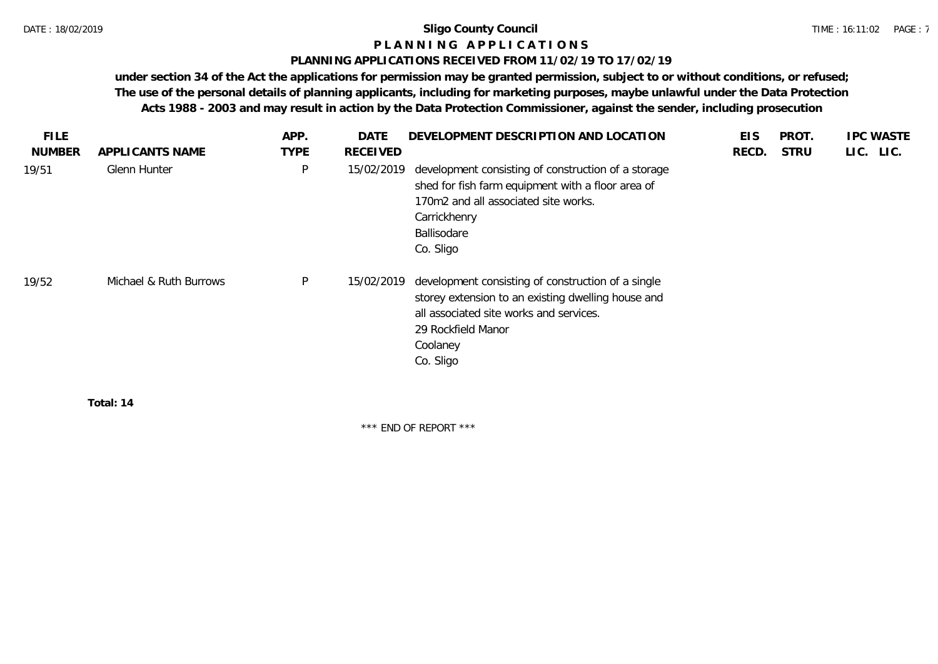# **P L A N N I N G A P P L I C A T I O N S**

#### **PLANNING APPLICATIONS RECEIVED FROM 11/02/19 TO 17/02/19**

**under section 34 of the Act the applications for permission may be granted permission, subject to or without conditions, or refused; The use of the personal details of planning applicants, including for marketing purposes, maybe unlawful under the Data Protection Acts 1988 - 2003 and may result in action by the Data Protection Commissioner, against the sender, including prosecution**

| <b>FILE</b>   |                        | APP.        | <b>DATE</b>     | DEVELOPMENT DESCRIPTION AND LOCATION                                                                                                                                                               | <b>EIS</b> | PROT.       | <b>IPC WASTE</b> |
|---------------|------------------------|-------------|-----------------|----------------------------------------------------------------------------------------------------------------------------------------------------------------------------------------------------|------------|-------------|------------------|
| <b>NUMBER</b> | APPLICANTS NAME        | <b>TYPE</b> | <b>RECEIVED</b> |                                                                                                                                                                                                    | RECD.      | <b>STRU</b> | LIC. LIC.        |
| 19/51         | Glenn Hunter           | P           | 15/02/2019      | development consisting of construction of a storage<br>shed for fish farm equipment with a floor area of<br>170m2 and all associated site works.<br>Carrickhenry<br>Ballisodare<br>Co. Sligo       |            |             |                  |
| 19/52         | Michael & Ruth Burrows | P           | 15/02/2019      | development consisting of construction of a single<br>storey extension to an existing dwelling house and<br>all associated site works and services.<br>29 Rockfield Manor<br>Coolaney<br>Co. Sligo |            |             |                  |
|               | — <u>.</u>             |             |                 |                                                                                                                                                                                                    |            |             |                  |

**Total: 14**

\*\*\* END OF REPORT \*\*\*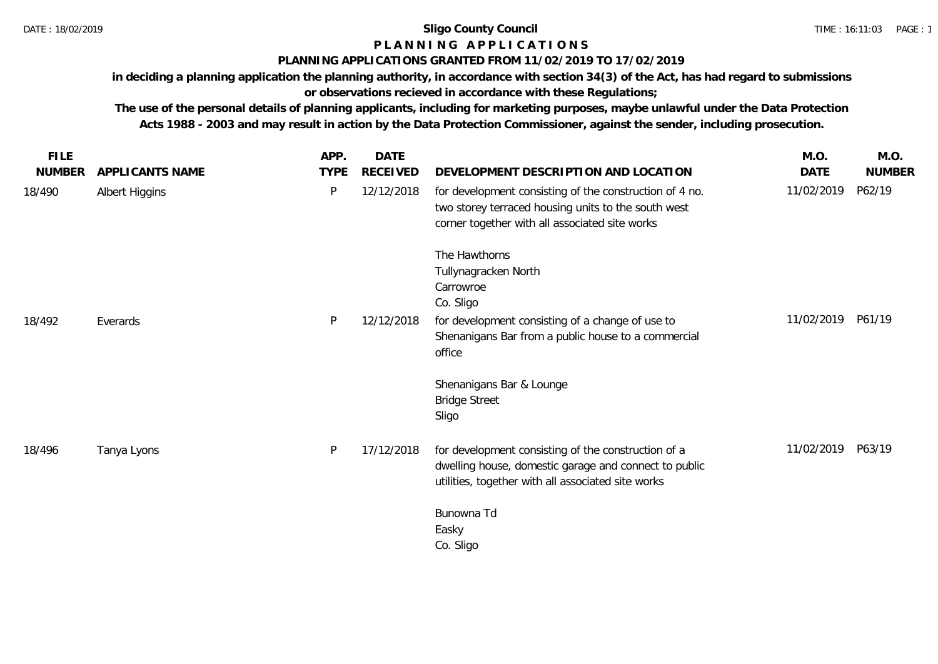# **P L A N N I N G A P P L I C A T I O N S**

### **PLANNING APPLICATIONS GRANTED FROM 11/02/2019 TO 17/02/2019**

**in deciding a planning application the planning authority, in accordance with section 34(3) of the Act, has had regard to submissions or observations recieved in accordance with these Regulations;**

**The use of the personal details of planning applicants, including for marketing purposes, maybe unlawful under the Data Protection Acts 1988 - 2003 and may result in action by the Data Protection Commissioner, against the sender, including prosecution.**

| <b>FILE</b>   |                 | APP.        | DATE            |                                                                                                                                                                    | M.O.       | M.O.          |
|---------------|-----------------|-------------|-----------------|--------------------------------------------------------------------------------------------------------------------------------------------------------------------|------------|---------------|
| <b>NUMBER</b> | APPLICANTS NAME | <b>TYPE</b> | <b>RECEIVED</b> | DEVELOPMENT DESCRIPTION AND LOCATION                                                                                                                               | DATE       | <b>NUMBER</b> |
| 18/490        | Albert Higgins  | P           | 12/12/2018      | for development consisting of the construction of 4 no.<br>two storey terraced housing units to the south west<br>corner together with all associated site works   | 11/02/2019 | P62/19        |
|               |                 |             |                 | The Hawthorns<br>Tullynagracken North<br>Carrowroe<br>Co. Sligo                                                                                                    |            |               |
| 18/492        | Everards        | P           | 12/12/2018      | for development consisting of a change of use to<br>Shenanigans Bar from a public house to a commercial<br>office                                                  | 11/02/2019 | P61/19        |
|               |                 |             |                 | Shenanigans Bar & Lounge<br><b>Bridge Street</b><br>Sligo                                                                                                          |            |               |
| 18/496        | Tanya Lyons     | P           | 17/12/2018      | for development consisting of the construction of a<br>dwelling house, domestic garage and connect to public<br>utilities, together with all associated site works | 11/02/2019 | P63/19        |
|               |                 |             |                 | Bunowna Td<br>Easky<br>Co. Sligo                                                                                                                                   |            |               |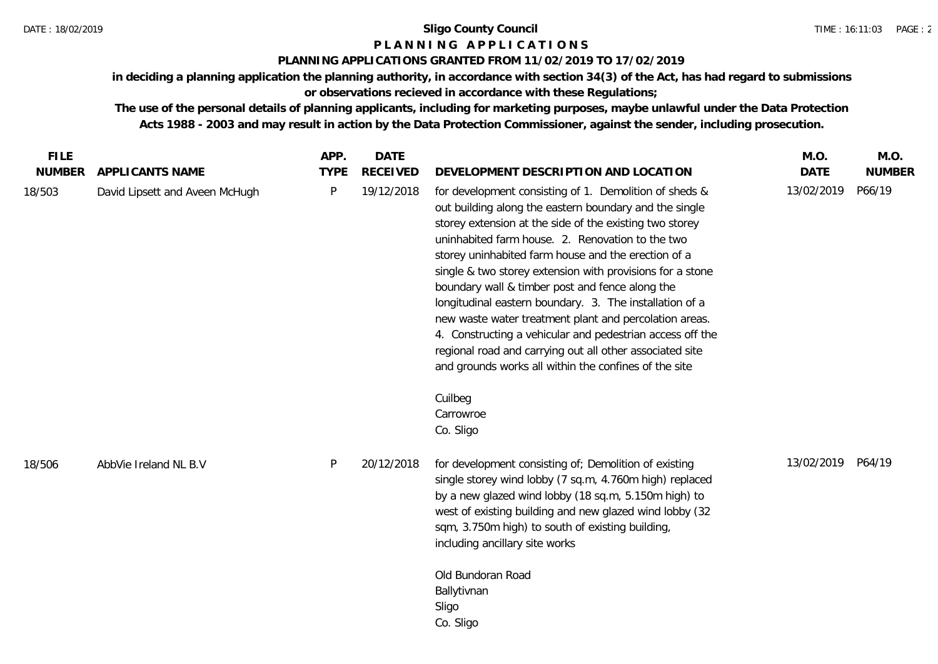# **P L A N N I N G A P P L I C A T I O N S**

## **PLANNING APPLICATIONS GRANTED FROM 11/02/2019 TO 17/02/2019**

**in deciding a planning application the planning authority, in accordance with section 34(3) of the Act, has had regard to submissions or observations recieved in accordance with these Regulations;**

**The use of the personal details of planning applicants, including for marketing purposes, maybe unlawful under the Data Protection Acts 1988 - 2003 and may result in action by the Data Protection Commissioner, against the sender, including prosecution.**

| <b>FILE</b> |                                | APP.         | <b>DATE</b>     |                                                                                                                                                                                                                                                                                                                                                                                                                                                                                                                                                                                                                                                                                                                                       | M.O.              | M.O.          |
|-------------|--------------------------------|--------------|-----------------|---------------------------------------------------------------------------------------------------------------------------------------------------------------------------------------------------------------------------------------------------------------------------------------------------------------------------------------------------------------------------------------------------------------------------------------------------------------------------------------------------------------------------------------------------------------------------------------------------------------------------------------------------------------------------------------------------------------------------------------|-------------------|---------------|
| NUMBER      | APPLICANTS NAME                | <b>TYPE</b>  | <b>RECEIVED</b> | DEVELOPMENT DESCRIPTION AND LOCATION                                                                                                                                                                                                                                                                                                                                                                                                                                                                                                                                                                                                                                                                                                  | <b>DATE</b>       | <b>NUMBER</b> |
| 18/503      | David Lipsett and Aveen McHugh | $\mathsf{P}$ | 19/12/2018      | for development consisting of 1. Demolition of sheds &<br>out building along the eastern boundary and the single<br>storey extension at the side of the existing two storey<br>uninhabited farm house. 2. Renovation to the two<br>storey uninhabited farm house and the erection of a<br>single & two storey extension with provisions for a stone<br>boundary wall & timber post and fence along the<br>longitudinal eastern boundary. 3. The installation of a<br>new waste water treatment plant and percolation areas.<br>4. Constructing a vehicular and pedestrian access off the<br>regional road and carrying out all other associated site<br>and grounds works all within the confines of the site<br>Cuilbeg<br>Carrowroe | 13/02/2019        | P66/19        |
| 18/506      | AbbVie Ireland NL B.V          | P            | 20/12/2018      | Co. Sligo<br>for development consisting of; Demolition of existing<br>single storey wind lobby (7 sq.m, 4.760m high) replaced<br>by a new glazed wind lobby (18 sq.m, 5.150m high) to<br>west of existing building and new glazed wind lobby (32<br>sqm, 3.750m high) to south of existing building,<br>including ancillary site works<br>Old Bundoran Road<br>Ballytivnan<br>Sligo<br>Co. Sligo                                                                                                                                                                                                                                                                                                                                      | 13/02/2019 P64/19 |               |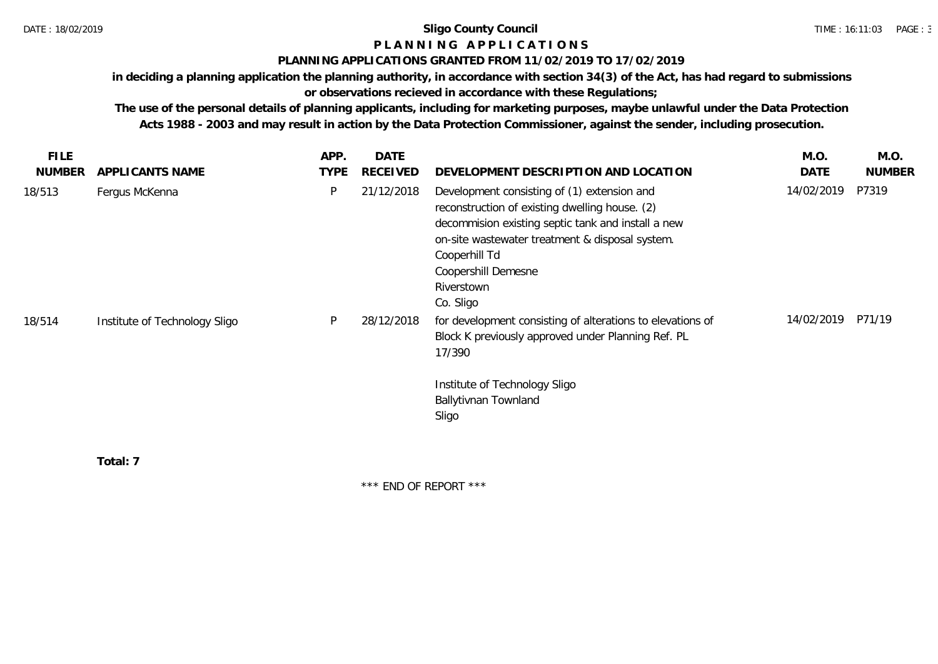# **P L A N N I N G A P P L I C A T I O N S**

#### **PLANNING APPLICATIONS GRANTED FROM 11/02/2019 TO 17/02/2019**

**in deciding a planning application the planning authority, in accordance with section 34(3) of the Act, has had regard to submissions** 

# **or observations recieved in accordance with these Regulations;**

**The use of the personal details of planning applicants, including for marketing purposes, maybe unlawful under the Data Protection Acts 1988 - 2003 and may result in action by the Data Protection Commissioner, against the sender, including prosecution.**

| <b>FILE</b>   |                               | APP.        | <b>DATE</b>     |                                                                                                                                                                                                                                                                           | M.O.       | M.O.          |
|---------------|-------------------------------|-------------|-----------------|---------------------------------------------------------------------------------------------------------------------------------------------------------------------------------------------------------------------------------------------------------------------------|------------|---------------|
| <b>NUMBER</b> | APPLICANTS NAME               | <b>TYPE</b> | <b>RECEIVED</b> | DEVELOPMENT DESCRIPTION AND LOCATION                                                                                                                                                                                                                                      | DATE       | <b>NUMBER</b> |
| 18/513        | Fergus McKenna                | P           | 21/12/2018      | Development consisting of (1) extension and<br>reconstruction of existing dwelling house. (2)<br>decommision existing septic tank and install a new<br>on-site wastewater treatment & disposal system.<br>Cooperhill Td<br>Coopershill Demesne<br>Riverstown<br>Co. Sligo | 14/02/2019 | P7319         |
| 18/514        | Institute of Technology Sligo | P           | 28/12/2018      | for development consisting of alterations to elevations of<br>Block K previously approved under Planning Ref. PL<br>17/390<br>Institute of Technology Sligo<br>Ballytivnan Townland<br>Sligo                                                                              | 14/02/2019 | P71/19        |
|               |                               |             |                 |                                                                                                                                                                                                                                                                           |            |               |

**Total: 7**

\*\*\* END OF REPORT \*\*\*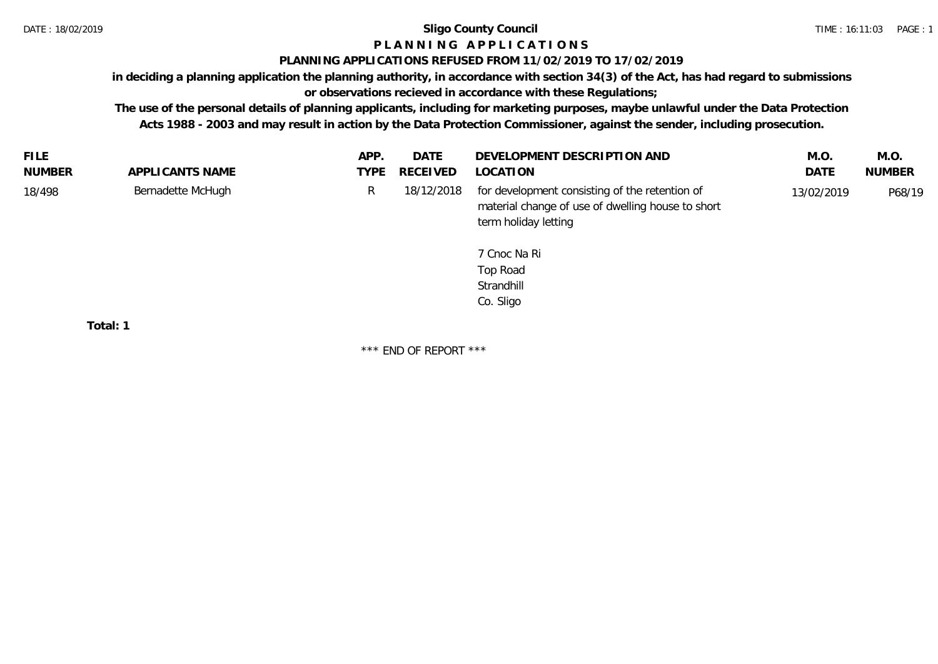# **P L A N N I N G A P P L I C A T I O N S**

### **PLANNING APPLICATIONS REFUSED FROM 11/02/2019 TO 17/02/2019**

**in deciding a planning application the planning authority, in accordance with section 34(3) of the Act, has had regard to submissions** 

# **or observations recieved in accordance with these Regulations;**

**The use of the personal details of planning applicants, including for marketing purposes, maybe unlawful under the Data Protection Acts 1988 - 2003 and may result in action by the Data Protection Commissioner, against the sender, including prosecution.**

| <b>FILE</b> |                       | APP. | <b>DATE</b> | DEVELOPMENT DESCRIPTION AND                                                                                                                                                        | M.O.       | M.O.          |
|-------------|-----------------------|------|-------------|------------------------------------------------------------------------------------------------------------------------------------------------------------------------------------|------------|---------------|
| NUMBER      | APPLICANTS NAME       | TYPE | RECEIVED    | LOCATION                                                                                                                                                                           | DATE       | <b>NUMBER</b> |
| 18/498      | Bernadette McHugh     | R.   | 18/12/2018  | for development consisting of the retention of<br>material change of use of dwelling house to short<br>term holiday letting<br>7 Cnoc Na Ri<br>Top Road<br>Strandhill<br>Co. Sligo | 13/02/2019 | P68/19        |
|             | $T \cap t \cap I$ . 1 |      |             |                                                                                                                                                                                    |            |               |

**Total: 1**

\*\*\* END OF REPORT \*\*\*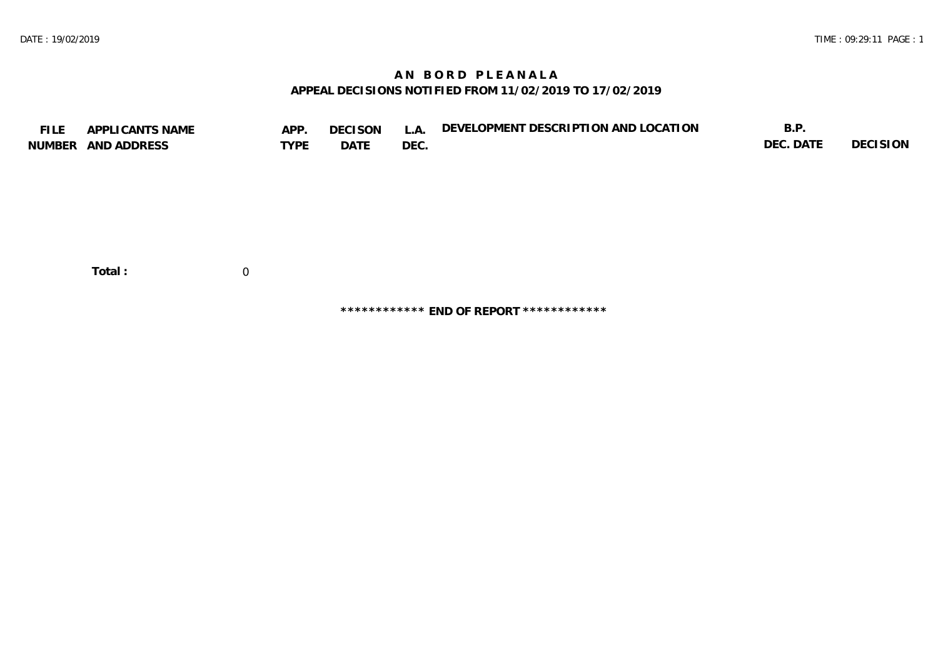# **A N B O R D P L E A N A L A APPEAL DECISIONS NOTIFIED FROM 11/02/2019 TO 17/02/2019**

| <b>FILE</b> | APPLICANTS NAME    | APP.        | <b>DECISON</b> | L.A. | DEVELOPMENT DESCRIPTION AND LOCATION | B.P.      |          |
|-------------|--------------------|-------------|----------------|------|--------------------------------------|-----------|----------|
|             | NUMBER AND ADDRESS | <b>TYPE</b> | DATE           | DEC. |                                      | DEC. DATE | DECISION |
|             |                    |             |                |      |                                      |           |          |
|             |                    |             |                |      |                                      |           |          |
|             |                    |             |                |      |                                      |           |          |
|             |                    |             |                |      |                                      |           |          |
|             |                    |             |                |      |                                      |           |          |
|             |                    |             |                |      |                                      |           |          |
|             |                    |             |                |      |                                      |           |          |
|             | Total:             | $\mathbf 0$ |                |      |                                      |           |          |

**\*\*\*\*\*\*\*\*\*\*\*\* END OF REPORT \*\*\*\*\*\*\*\*\*\*\*\***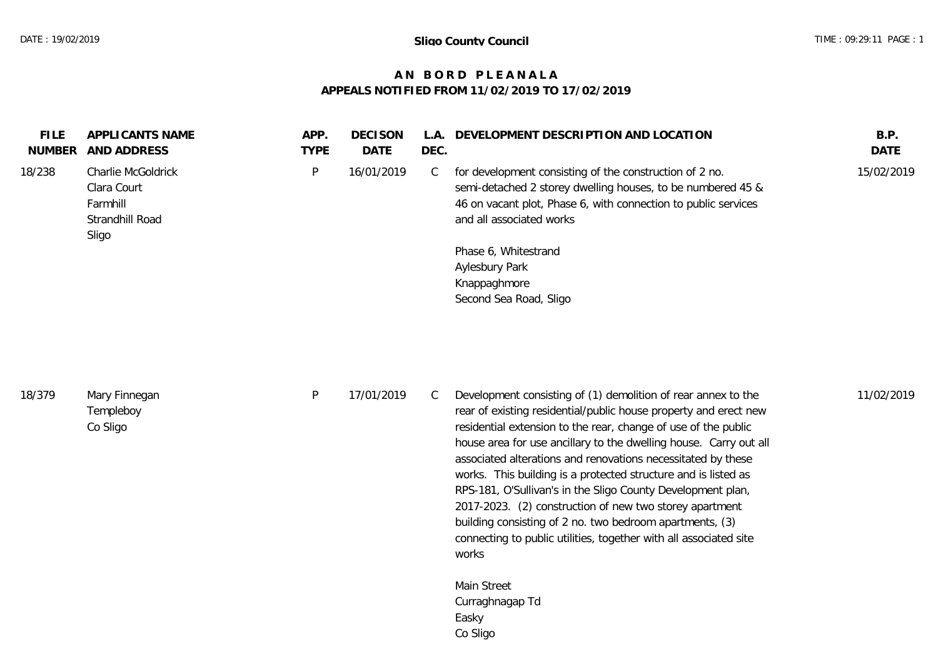#### **A N B O R D P L E A N A L A APPEALS NOTIFIED FROM 11/02/2019 TO 17/02/2019**

| <b>FILE</b><br>NUMBER | APPLICANTS NAME<br>AND ADDRESS                                            | APP.<br><b>TYPE</b> | DECISON<br><b>DATE</b> | A<br>DEC. | DEVELOPMENT DESCRIPTION AND LOCATION                                                                                                                                                                                 | B.P.<br><b>DATE</b> |
|-----------------------|---------------------------------------------------------------------------|---------------------|------------------------|-----------|----------------------------------------------------------------------------------------------------------------------------------------------------------------------------------------------------------------------|---------------------|
| 18/238                | Charlie McGoldrick<br>Clara Court<br>Farmhill<br>Strandhill Road<br>Sligo | P.                  | 16/01/2019             | U.        | for development consisting of the construction of 2 no.<br>semi-detached 2 storey dwelling houses, to be numbered 45 &<br>46 on vacant plot, Phase 6, with connection to public services<br>and all associated works | 15/02/2019          |
|                       |                                                                           |                     |                        |           | Phase 6, Whitestrand<br>Aylesbury Park<br>Knappaghmore<br>Second Sea Road, Sligo                                                                                                                                     |                     |

| 18/379 | Mary Finnegan |
|--------|---------------|
|        | Templeboy     |
|        | Co Sligo      |

P 17/01/2019 C Development consisting of (1) demolition of rear annex to the  $11/02/2019$ rear of existing residential/public house property and erect new residential extension to the rear, change of use of the public house area for use ancillary to the dwelling house. Carry out all associated alterations and renovations necessitated by these works. This building is a protected structure and is listed as RPS-181, O'Sullivan's in the Sligo County Development plan, 2017-2023. (2) construction of new two storey apartment building consisting of 2 no. two bedroom apartments, (3) connecting to public utilities, together with all associated site works

> Main Street Curraghnagap Td Easky Co Sligo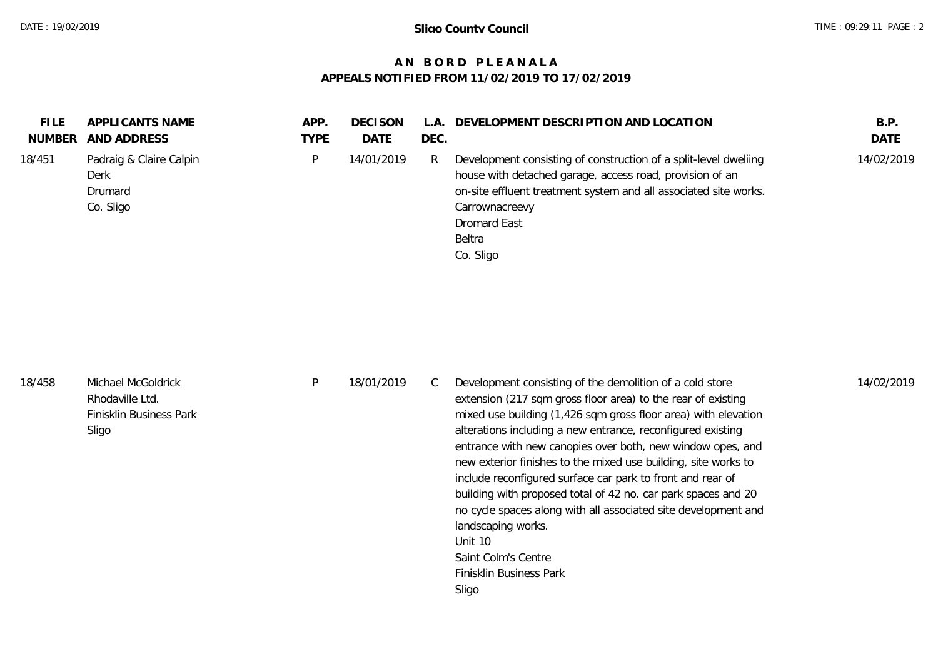# **A N B O R D P L E A N A L A APPEALS NOTIFIED FROM 11/02/2019 TO 17/02/2019**

| Padraig & Claire Calpin<br>Development consisting of construction of a split-level dwelling<br>18/451<br>14/01/2019<br>D<br>R<br>house with detached garage, access road, provision of an<br>Derk<br>Drumard | <b>FILE</b><br>NUMBER | APPLICANTS NAME<br>AND ADDRESS | APP.<br>TYPE | <b>DECISON</b><br>DATE | L.A.<br>DEC. | DEVELOPMENT DESCRIPTION AND LOCATION                             | B.P.<br>DATE |
|--------------------------------------------------------------------------------------------------------------------------------------------------------------------------------------------------------------|-----------------------|--------------------------------|--------------|------------------------|--------------|------------------------------------------------------------------|--------------|
| Co. Sligo<br>Carrownacreevy<br><b>Dromard East</b><br><b>Beltra</b><br>Co. Sligo                                                                                                                             |                       |                                |              |                        |              | on-site effluent treatment system and all associated site works. | 14/02/2019   |

| 18/458 | Michael McGoldrick<br>Rhodaville Ltd.<br>Finisklin Business Park<br>Sligo | 18/01/2019 | Development consisting of the demolition of a cold store<br>extension (217 sqm gross floor area) to the rear of existing<br>mixed use building (1,426 sqm gross floor area) with elevation<br>alterations including a new entrance, reconfigured existing<br>entrance with new canopies over both, new window opes, and | 14/02/2019 |
|--------|---------------------------------------------------------------------------|------------|-------------------------------------------------------------------------------------------------------------------------------------------------------------------------------------------------------------------------------------------------------------------------------------------------------------------------|------------|
|        |                                                                           |            | new exterior finishes to the mixed use building, site works to                                                                                                                                                                                                                                                          |            |

Unit 10

Sligo

landscaping works.

Saint Colm's Centre Finisklin Business Park

include reconfigured surface car park to front and rear of building with proposed total of 42 no. car park spaces and 20 no cycle spaces along with all associated site development and